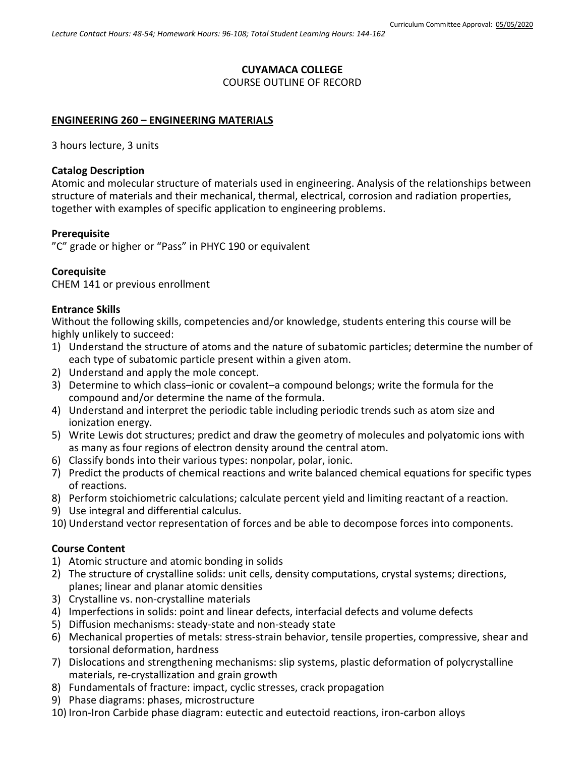## **CUYAMACA COLLEGE**

### COURSE OUTLINE OF RECORD

### **ENGINEERING 260 – ENGINEERING MATERIALS**

3 hours lecture, 3 units

### **Catalog Description**

Atomic and molecular structure of materials used in engineering. Analysis of the relationships between structure of materials and their mechanical, thermal, electrical, corrosion and radiation properties, together with examples of specific application to engineering problems.

### **Prerequisite**

"C" grade or higher or "Pass" in PHYC 190 or equivalent

## **Corequisite**

CHEM 141 or previous enrollment

### **Entrance Skills**

Without the following skills, competencies and/or knowledge, students entering this course will be highly unlikely to succeed:

- 1) Understand the structure of atoms and the nature of subatomic particles; determine the number of each type of subatomic particle present within a given atom.
- 2) Understand and apply the mole concept.
- 3) Determine to which class–ionic or covalent–a compound belongs; write the formula for the compound and/or determine the name of the formula.
- 4) Understand and interpret the periodic table including periodic trends such as atom size and ionization energy.
- 5) Write Lewis dot structures; predict and draw the geometry of molecules and polyatomic ions with as many as four regions of electron density around the central atom.
- 6) Classify bonds into their various types: nonpolar, polar, ionic.
- 7) Predict the products of chemical reactions and write balanced chemical equations for specific types of reactions.
- 8) Perform stoichiometric calculations; calculate percent yield and limiting reactant of a reaction.
- 9) Use integral and differential calculus.
- 10) Understand vector representation of forces and be able to decompose forces into components.

### **Course Content**

- 1) Atomic structure and atomic bonding in solids
- 2) The structure of crystalline solids: unit cells, density computations, crystal systems; directions, planes; linear and planar atomic densities
- 3) Crystalline vs. non-crystalline materials
- 4) Imperfections in solids: point and linear defects, interfacial defects and volume defects
- 5) Diffusion mechanisms: steady-state and non-steady state
- 6) Mechanical properties of metals: stress-strain behavior, tensile properties, compressive, shear and torsional deformation, hardness
- 7) Dislocations and strengthening mechanisms: slip systems, plastic deformation of polycrystalline materials, re-crystallization and grain growth
- 8) Fundamentals of fracture: impact, cyclic stresses, crack propagation
- 9) Phase diagrams: phases, microstructure
- 10) Iron-Iron Carbide phase diagram: eutectic and eutectoid reactions, iron-carbon alloys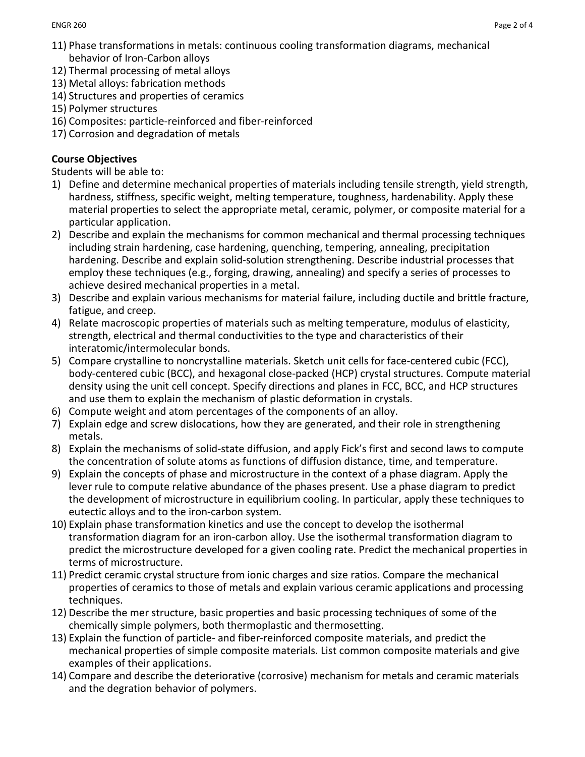- 11) Phase transformations in metals: continuous cooling transformation diagrams, mechanical behavior of Iron-Carbon alloys
- 12) Thermal processing of metal alloys
- 13) Metal alloys: fabrication methods
- 14) Structures and properties of ceramics
- 15) Polymer structures
- 16) Composites: particle-reinforced and fiber-reinforced
- 17) Corrosion and degradation of metals

# **Course Objectives**

Students will be able to:

- 1) Define and determine mechanical properties of materials including tensile strength, yield strength, hardness, stiffness, specific weight, melting temperature, toughness, hardenability. Apply these material properties to select the appropriate metal, ceramic, polymer, or composite material for a particular application.
- 2) Describe and explain the mechanisms for common mechanical and thermal processing techniques including strain hardening, case hardening, quenching, tempering, annealing, precipitation hardening. Describe and explain solid-solution strengthening. Describe industrial processes that employ these techniques (e.g., forging, drawing, annealing) and specify a series of processes to achieve desired mechanical properties in a metal.
- 3) Describe and explain various mechanisms for material failure, including ductile and brittle fracture, fatigue, and creep.
- 4) Relate macroscopic properties of materials such as melting temperature, modulus of elasticity, strength, electrical and thermal conductivities to the type and characteristics of their interatomic/intermolecular bonds.
- 5) Compare crystalline to noncrystalline materials. Sketch unit cells for face-centered cubic (FCC), body-centered cubic (BCC), and hexagonal close-packed (HCP) crystal structures. Compute material density using the unit cell concept. Specify directions and planes in FCC, BCC, and HCP structures and use them to explain the mechanism of plastic deformation in crystals.
- 6) Compute weight and atom percentages of the components of an alloy.
- 7) Explain edge and screw dislocations, how they are generated, and their role in strengthening metals.
- 8) Explain the mechanisms of solid-state diffusion, and apply Fick's first and second laws to compute the concentration of solute atoms as functions of diffusion distance, time, and temperature.
- 9) Explain the concepts of phase and microstructure in the context of a phase diagram. Apply the lever rule to compute relative abundance of the phases present. Use a phase diagram to predict the development of microstructure in equilibrium cooling. In particular, apply these techniques to eutectic alloys and to the iron-carbon system.
- 10) Explain phase transformation kinetics and use the concept to develop the isothermal transformation diagram for an iron-carbon alloy. Use the isothermal transformation diagram to predict the microstructure developed for a given cooling rate. Predict the mechanical properties in terms of microstructure.
- 11) Predict ceramic crystal structure from ionic charges and size ratios. Compare the mechanical properties of ceramics to those of metals and explain various ceramic applications and processing techniques.
- 12) Describe the mer structure, basic properties and basic processing techniques of some of the chemically simple polymers, both thermoplastic and thermosetting.
- 13) Explain the function of particle- and fiber-reinforced composite materials, and predict the mechanical properties of simple composite materials. List common composite materials and give examples of their applications.
- 14) Compare and describe the deteriorative (corrosive) mechanism for metals and ceramic materials and the degration behavior of polymers.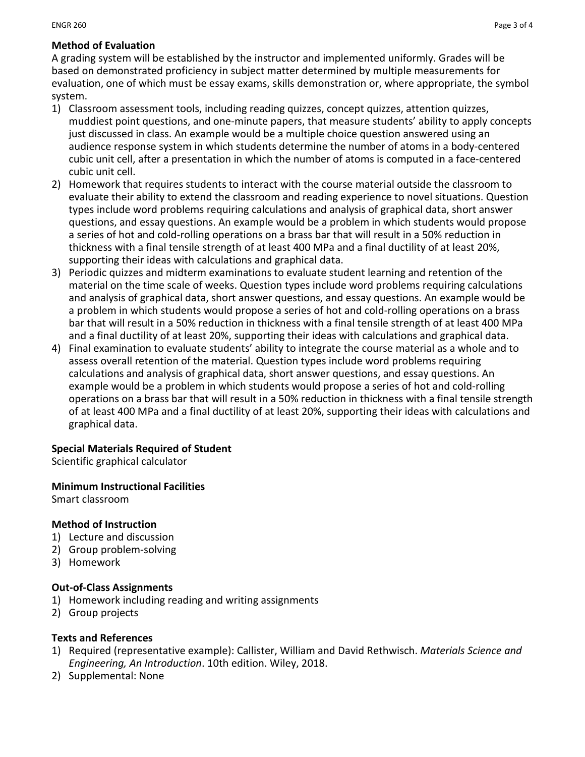# **Method of Evaluation**

A grading system will be established by the instructor and implemented uniformly. Grades will be based on demonstrated proficiency in subject matter determined by multiple measurements for evaluation, one of which must be essay exams, skills demonstration or, where appropriate, the symbol system.

- 1) Classroom assessment tools, including reading quizzes, concept quizzes, attention quizzes, muddiest point questions, and one-minute papers, that measure students' ability to apply concepts just discussed in class. An example would be a multiple choice question answered using an audience response system in which students determine the number of atoms in a body-centered cubic unit cell, after a presentation in which the number of atoms is computed in a face-centered cubic unit cell.
- 2) Homework that requires students to interact with the course material outside the classroom to evaluate their ability to extend the classroom and reading experience to novel situations. Question types include word problems requiring calculations and analysis of graphical data, short answer questions, and essay questions. An example would be a problem in which students would propose a series of hot and cold-rolling operations on a brass bar that will result in a 50% reduction in thickness with a final tensile strength of at least 400 MPa and a final ductility of at least 20%, supporting their ideas with calculations and graphical data.
- 3) Periodic quizzes and midterm examinations to evaluate student learning and retention of the material on the time scale of weeks. Question types include word problems requiring calculations and analysis of graphical data, short answer questions, and essay questions. An example would be a problem in which students would propose a series of hot and cold-rolling operations on a brass bar that will result in a 50% reduction in thickness with a final tensile strength of at least 400 MPa and a final ductility of at least 20%, supporting their ideas with calculations and graphical data.
- 4) Final examination to evaluate students' ability to integrate the course material as a whole and to assess overall retention of the material. Question types include word problems requiring calculations and analysis of graphical data, short answer questions, and essay questions. An example would be a problem in which students would propose a series of hot and cold-rolling operations on a brass bar that will result in a 50% reduction in thickness with a final tensile strength of at least 400 MPa and a final ductility of at least 20%, supporting their ideas with calculations and graphical data.

### **Special Materials Required of Student**

Scientific graphical calculator

### **Minimum Instructional Facilities**

Smart classroom

### **Method of Instruction**

- 1) Lecture and discussion
- 2) Group problem-solving
- 3) Homework

### **Out-of-Class Assignments**

- 1) Homework including reading and writing assignments
- 2) Group projects

### **Texts and References**

- 1) Required (representative example): Callister, William and David Rethwisch. *Materials Science and Engineering, An Introduction*. 10th edition. Wiley, 2018.
- 2) Supplemental: None